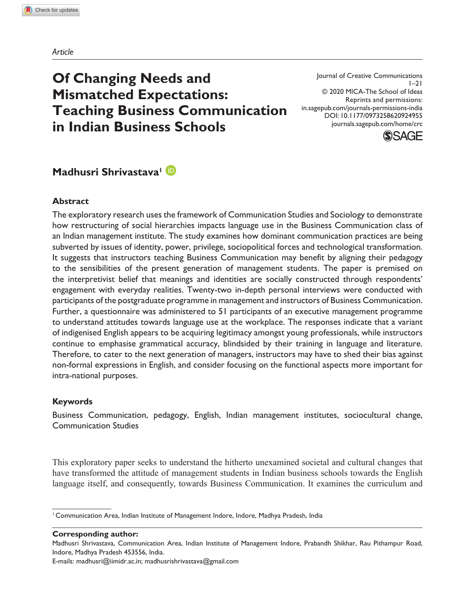*Article*

# **Of Changing Needs and Mismatched Expectations: Teaching Business Communication in Indian Business Schools**

Journal of Creative Communications  $1 - 21$ © 2020 MICA-The School of Ideas Reprints and permissions: in.sagepub.com/journals-permissions-india DOI: 10.1177/0973258620924955 journals.sagepub.com/home/crc



## **Madhusri Shrivastava<sup>1</sup>**

#### **Abstract**

The exploratory research uses the framework of Communication Studies and Sociology to demonstrate how restructuring of social hierarchies impacts language use in the Business Communication class of an Indian management institute. The study examines how dominant communication practices are being subverted by issues of identity, power, privilege, sociopolitical forces and technological transformation. It suggests that instructors teaching Business Communication may benefit by aligning their pedagogy to the sensibilities of the present generation of management students. The paper is premised on the interpretivist belief that meanings and identities are socially constructed through respondents' engagement with everyday realities. Twenty-two in-depth personal interviews were conducted with participants of the postgraduate programme in management and instructors of Business Communication. Further, a questionnaire was administered to 51 participants of an executive management programme to understand attitudes towards language use at the workplace. The responses indicate that a variant of indigenised English appears to be acquiring legitimacy amongst young professionals, while instructors continue to emphasise grammatical accuracy, blindsided by their training in language and literature. Therefore, to cater to the next generation of managers, instructors may have to shed their bias against non-formal expressions in English, and consider focusing on the functional aspects more important for intra-national purposes.

#### **Keywords**

Business Communication, pedagogy, English, Indian management institutes, sociocultural change, Communication Studies

This exploratory paper seeks to understand the hitherto unexamined societal and cultural changes that have transformed the attitude of management students in Indian business schools towards the English language itself, and consequently, towards Business Communication. It examines the curriculum and

**Corresponding author:**

<sup>&</sup>lt;sup>1</sup> Communication Area, Indian Institute of Management Indore, Indore, Madhya Pradesh, India

Madhusri Shrivastava, Communication Area, Indian Institute of Management Indore, Prabandh Shikhar, Rau Pithampur Road, Indore, Madhya Pradesh 453556, India.

E-mails: madhusri@iimidr.ac.in; madhusrishrivastava@gmail.com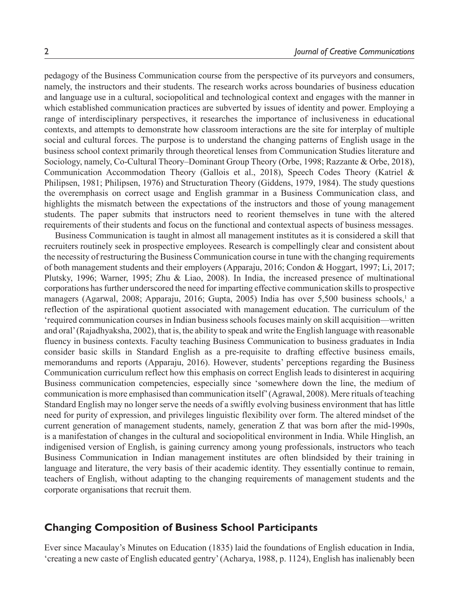pedagogy of the Business Communication course from the perspective of its purveyors and consumers, namely, the instructors and their students. The research works across boundaries of business education and language use in a cultural, sociopolitical and technological context and engages with the manner in which established communication practices are subverted by issues of identity and power. Employing a range of interdisciplinary perspectives, it researches the importance of inclusiveness in educational contexts, and attempts to demonstrate how classroom interactions are the site for interplay of multiple social and cultural forces. The purpose is to understand the changing patterns of English usage in the business school context primarily through theoretical lenses from Communication Studies literature and Sociology, namely, Co-Cultural Theory–Dominant Group Theory (Orbe, 1998; Razzante & Orbe, 2018), Communication Accommodation Theory (Gallois et al., 2018), Speech Codes Theory (Katriel & Philipsen, 1981; Philipsen, 1976) and Structuration Theory (Giddens, 1979, 1984). The study questions the overemphasis on correct usage and English grammar in a Business Communication class, and highlights the mismatch between the expectations of the instructors and those of young management students. The paper submits that instructors need to reorient themselves in tune with the altered requirements of their students and focus on the functional and contextual aspects of business messages.

Business Communication is taught in almost all management institutes as it is considered a skill that recruiters routinely seek in prospective employees. Research is compellingly clear and consistent about the necessity of restructuring the Business Communication course in tune with the changing requirements of both management students and their employers (Apparaju, 2016; Condon & Hoggart, 1997; Li, 2017; Plutsky, 1996; Warner, 1995; Zhu & Liao, 2008). In India, the increased presence of multinational corporations has further underscored the need for imparting effective communication skills to prospective managers (Agarwal, 2008; Apparaju, 2016; Gupta, 2005) India has over 5,500 business schools,<sup>1</sup> a reflection of the aspirational quotient associated with management education. The curriculum of the 'required communication courses in Indian business schools focuses mainly on skill acquisition—written and oral' (Rajadhyaksha, 2002), that is, the ability to speak and write the English language with reasonable fluency in business contexts. Faculty teaching Business Communication to business graduates in India consider basic skills in Standard English as a pre-requisite to drafting effective business emails, memorandums and reports (Apparaju, 2016). However, students' perceptions regarding the Business Communication curriculum reflect how this emphasis on correct English leads to disinterest in acquiring Business communication competencies, especially since 'somewhere down the line, the medium of communication is more emphasised than communication itself' (Agrawal, 2008). Mere rituals of teaching Standard English may no longer serve the needs of a swiftly evolving business environment that has little need for purity of expression, and privileges linguistic flexibility over form. The altered mindset of the current generation of management students, namely, generation Z that was born after the mid-1990s, is a manifestation of changes in the cultural and sociopolitical environment in India. While Hinglish, an indigenised version of English, is gaining currency among young professionals, instructors who teach Business Communication in Indian management institutes are often blindsided by their training in language and literature, the very basis of their academic identity. They essentially continue to remain, teachers of English, without adapting to the changing requirements of management students and the corporate organisations that recruit them.

#### **Changing Composition of Business School Participants**

Ever since Macaulay's Minutes on Education (1835) laid the foundations of English education in India, 'creating a new caste of English educated gentry' (Acharya, 1988, p. 1124), English has inalienably been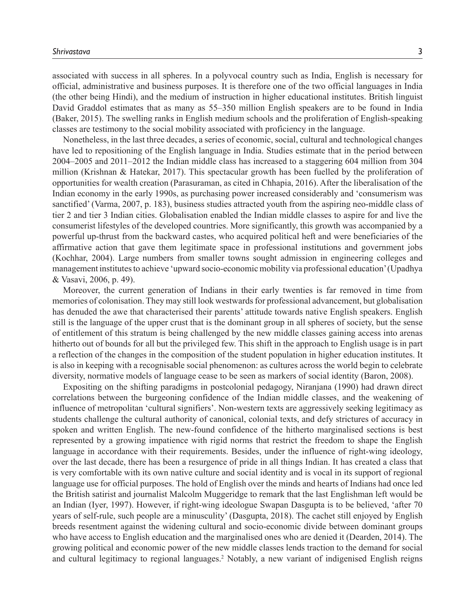associated with success in all spheres. In a polyvocal country such as India, English is necessary for official, administrative and business purposes. It is therefore one of the two official languages in India (the other being Hindi), and the medium of instruction in higher educational institutes. British linguist David Graddol estimates that as many as 55–350 million English speakers are to be found in India (Baker, 2015). The swelling ranks in English medium schools and the proliferation of English-speaking classes are testimony to the social mobility associated with proficiency in the language.

Nonetheless, in the last three decades, a series of economic, social, cultural and technological changes have led to repositioning of the English language in India. Studies estimate that in the period between 2004–2005 and 2011–2012 the Indian middle class has increased to a staggering 604 million from 304 million (Krishnan & Hatekar, 2017). This spectacular growth has been fuelled by the proliferation of opportunities for wealth creation (Parasuraman, as cited in Chhapia, 2016). After the liberalisation of the Indian economy in the early 1990s, as purchasing power increased considerably and 'consumerism was sanctified' (Varma, 2007, p. 183), business studies attracted youth from the aspiring neo-middle class of tier 2 and tier 3 Indian cities. Globalisation enabled the Indian middle classes to aspire for and live the consumerist lifestyles of the developed countries. More significantly, this growth was accompanied by a powerful up-thrust from the backward castes, who acquired political heft and were beneficiaries of the affirmative action that gave them legitimate space in professional institutions and government jobs (Kochhar, 2004). Large numbers from smaller towns sought admission in engineering colleges and management institutes to achieve 'upward socio-economic mobility via professional education' (Upadhya & Vasavi, 2006, p. 49).

Moreover, the current generation of Indians in their early twenties is far removed in time from memories of colonisation. They may still look westwards for professional advancement, but globalisation has denuded the awe that characterised their parents' attitude towards native English speakers. English still is the language of the upper crust that is the dominant group in all spheres of society, but the sense of entitlement of this stratum is being challenged by the new middle classes gaining access into arenas hitherto out of bounds for all but the privileged few. This shift in the approach to English usage is in part a reflection of the changes in the composition of the student population in higher education institutes. It is also in keeping with a recognisable social phenomenon: as cultures across the world begin to celebrate diversity, normative models of language cease to be seen as markers of social identity (Baron, 2008).

Expositing on the shifting paradigms in postcolonial pedagogy, Niranjana (1990) had drawn direct correlations between the burgeoning confidence of the Indian middle classes, and the weakening of influence of metropolitan 'cultural signifiers'. Non-western texts are aggressively seeking legitimacy as students challenge the cultural authority of canonical, colonial texts, and defy strictures of accuracy in spoken and written English. The new-found confidence of the hitherto marginalised sections is best represented by a growing impatience with rigid norms that restrict the freedom to shape the English language in accordance with their requirements. Besides, under the influence of right-wing ideology, over the last decade, there has been a resurgence of pride in all things Indian. It has created a class that is very comfortable with its own native culture and social identity and is vocal in its support of regional language use for official purposes. The hold of English over the minds and hearts of Indians had once led the British satirist and journalist Malcolm Muggeridge to remark that the last Englishman left would be an Indian (Iyer, 1997). However, if right-wing ideologue Swapan Dasgupta is to be believed, 'after 70 years of self-rule, such people are a minusculity' (Dasgupta, 2018). The cachet still enjoyed by English breeds resentment against the widening cultural and socio-economic divide between dominant groups who have access to English education and the marginalised ones who are denied it (Dearden, 2014). The growing political and economic power of the new middle classes lends traction to the demand for social and cultural legitimacy to regional languages.<sup>2</sup> Notably, a new variant of indigenised English reigns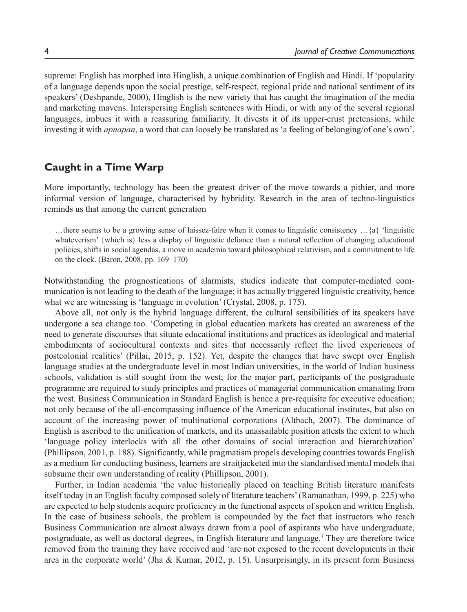supreme: English has morphed into Hinglish, a unique combination of English and Hindi. If 'popularity of a language depends upon the social prestige, self-respect, regional pride and national sentiment of its speakers' (Deshpande, 2000), Hinglish is the new variety that has caught the imagination of the media and marketing mavens. Interspersing English sentences with Hindi, or with any of the several regional languages, imbues it with a reassuring familiarity. It divests it of its upper-crust pretensions, while investing it with *apnapan*, a word that can loosely be translated as 'a feeling of belonging/of one's own'.

## **Caught in a Time Warp**

More importantly, technology has been the greatest driver of the move towards a pithier, and more informal version of language, characterised by hybridity. Research in the area of techno-linguistics reminds us that among the current generation

…there seems to be a growing sense of laissez-faire when it comes to linguistic consistency …{a} 'linguistic whateverism' {which is} less a display of linguistic defiance than a natural reflection of changing educational policies, shifts in social agendas, a move in academia toward philosophical relativism, and a commitment to life on the clock. (Baron, 2008, pp. 169–170)

Notwithstanding the prognostications of alarmists, studies indicate that computer-mediated communication is not leading to the death of the language; it has actually triggered linguistic creativity, hence what we are witnessing is 'language in evolution' (Crystal, 2008, p. 175).

Above all, not only is the hybrid language different, the cultural sensibilities of its speakers have undergone a sea change too. 'Competing in global education markets has created an awareness of the need to generate discourses that situate educational institutions and practices as ideological and material embodiments of sociocultural contexts and sites that necessarily reflect the lived experiences of postcolonial realities' (Pillai, 2015, p. 152). Yet, despite the changes that have swept over English language studies at the undergraduate level in most Indian universities, in the world of Indian business schools, validation is still sought from the west; for the major part, participants of the postgraduate programme are required to study principles and practices of managerial communication emanating from the west. Business Communication in Standard English is hence a pre-requisite for executive education; not only because of the all-encompassing influence of the American educational institutes, but also on account of the increasing power of multinational corporations (Altbach, 2007). The dominance of English is ascribed to the unification of markets, and its unassailable position attests the extent to which 'language policy interlocks with all the other domains of social interaction and hierarchization' (Phillipson, 2001, p. 188). Significantly, while pragmatism propels developing countries towards English as a medium for conducting business, learners are straitjacketed into the standardised mental models that subsume their own understanding of reality (Phillipson, 2001).

Further, in Indian academia 'the value historically placed on teaching British literature manifests itself today in an English faculty composed solely of literature teachers' (Ramanathan, 1999, p. 225) who are expected to help students acquire proficiency in the functional aspects of spoken and written English. In the case of business schools, the problem is compounded by the fact that instructors who teach Business Communication are almost always drawn from a pool of aspirants who have undergraduate, postgraduate, as well as doctoral degrees, in English literature and language.<sup>3</sup> They are therefore twice removed from the training they have received and 'are not exposed to the recent developments in their area in the corporate world' (Jha & Kumar, 2012, p. 15). Unsurprisingly, in its present form Business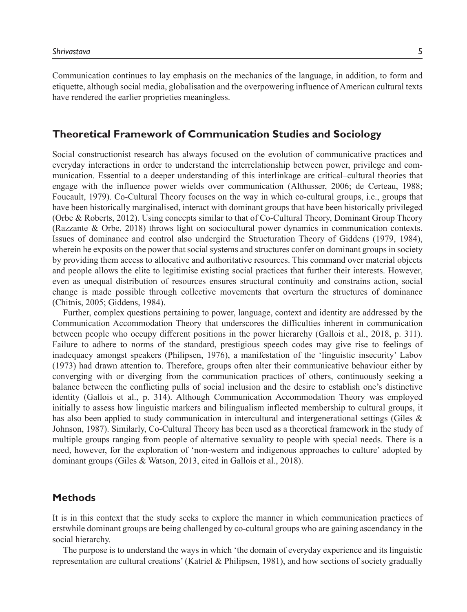Communication continues to lay emphasis on the mechanics of the language, in addition, to form and etiquette, although social media, globalisation and the overpowering influence of American cultural texts have rendered the earlier proprieties meaningless.

## **Theoretical Framework of Communication Studies and Sociology**

Social constructionist research has always focused on the evolution of communicative practices and everyday interactions in order to understand the interrelationship between power, privilege and communication. Essential to a deeper understanding of this interlinkage are critical–cultural theories that engage with the influence power wields over communication (Althusser, 2006; de Certeau, 1988; Foucault, 1979). Co-Cultural Theory focuses on the way in which co-cultural groups, i.e., groups that have been historically marginalised, interact with dominant groups that have been historically privileged (Orbe & Roberts, 2012). Using concepts similar to that of Co-Cultural Theory, Dominant Group Theory (Razzante & Orbe, 2018) throws light on sociocultural power dynamics in communication contexts. Issues of dominance and control also undergird the Structuration Theory of Giddens (1979, 1984), wherein he exposits on the power that social systems and structures confer on dominant groups in society by providing them access to allocative and authoritative resources. This command over material objects and people allows the elite to legitimise existing social practices that further their interests. However, even as unequal distribution of resources ensures structural continuity and constrains action, social change is made possible through collective movements that overturn the structures of dominance (Chitnis, 2005; Giddens, 1984).

Further, complex questions pertaining to power, language, context and identity are addressed by the Communication Accommodation Theory that underscores the difficulties inherent in communication between people who occupy different positions in the power hierarchy (Gallois et al., 2018, p. 311). Failure to adhere to norms of the standard, prestigious speech codes may give rise to feelings of inadequacy amongst speakers (Philipsen, 1976), a manifestation of the 'linguistic insecurity' Labov (1973) had drawn attention to. Therefore, groups often alter their communicative behaviour either by converging with or diverging from the communication practices of others, continuously seeking a balance between the conflicting pulls of social inclusion and the desire to establish one's distinctive identity (Gallois et al., p. 314). Although Communication Accommodation Theory was employed initially to assess how linguistic markers and bilingualism inflected membership to cultural groups, it has also been applied to study communication in intercultural and intergenerational settings (Giles & Johnson, 1987). Similarly, Co-Cultural Theory has been used as a theoretical framework in the study of multiple groups ranging from people of alternative sexuality to people with special needs. There is a need, however, for the exploration of 'non-western and indigenous approaches to culture' adopted by dominant groups (Giles & Watson, 2013, cited in Gallois et al., 2018).

#### **Methods**

It is in this context that the study seeks to explore the manner in which communication practices of erstwhile dominant groups are being challenged by co-cultural groups who are gaining ascendancy in the social hierarchy.

The purpose is to understand the ways in which 'the domain of everyday experience and its linguistic representation are cultural creations' (Katriel & Philipsen, 1981), and how sections of society gradually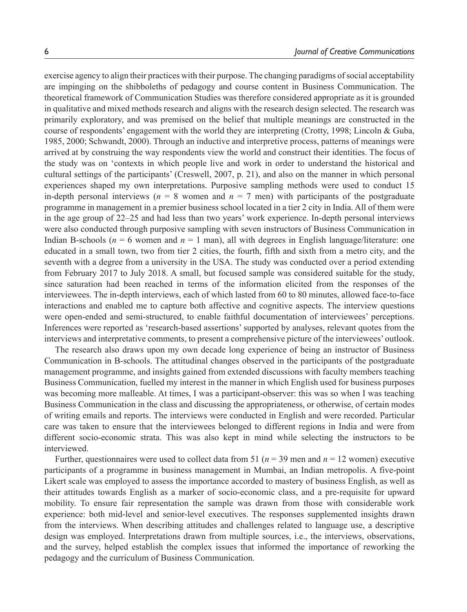exercise agency to align their practices with their purpose. The changing paradigms of social acceptability are impinging on the shibboleths of pedagogy and course content in Business Communication. The theoretical framework of Communication Studies was therefore considered appropriate as it is grounded in qualitative and mixed methods research and aligns with the research design selected. The research was primarily exploratory, and was premised on the belief that multiple meanings are constructed in the course of respondents' engagement with the world they are interpreting (Crotty, 1998; Lincoln & Guba, 1985, 2000; Schwandt, 2000). Through an inductive and interpretive process, patterns of meanings were arrived at by construing the way respondents view the world and construct their identities. The focus of the study was on 'contexts in which people live and work in order to understand the historical and cultural settings of the participants' (Creswell, 2007, p. 21), and also on the manner in which personal experiences shaped my own interpretations. Purposive sampling methods were used to conduct 15 in-depth personal interviews ( $n = 8$  women and  $n = 7$  men) with participants of the postgraduate programme in management in a premier business school located in a tier 2 city in India. All of them were in the age group of 22–25 and had less than two years' work experience. In-depth personal interviews were also conducted through purposive sampling with seven instructors of Business Communication in Indian B-schools ( $n = 6$  women and  $n = 1$  man), all with degrees in English language/literature: one educated in a small town, two from tier 2 cities, the fourth, fifth and sixth from a metro city, and the seventh with a degree from a university in the USA. The study was conducted over a period extending from February 2017 to July 2018. A small, but focused sample was considered suitable for the study, since saturation had been reached in terms of the information elicited from the responses of the interviewees. The in-depth interviews, each of which lasted from 60 to 80 minutes, allowed face-to-face interactions and enabled me to capture both affective and cognitive aspects. The interview questions were open-ended and semi-structured, to enable faithful documentation of interviewees' perceptions. Inferences were reported as 'research-based assertions' supported by analyses, relevant quotes from the interviews and interpretative comments, to present a comprehensive picture of the interviewees' outlook.

The research also draws upon my own decade long experience of being an instructor of Business Communication in B-schools. The attitudinal changes observed in the participants of the postgraduate management programme, and insights gained from extended discussions with faculty members teaching Business Communication, fuelled my interest in the manner in which English used for business purposes was becoming more malleable. At times, I was a participant-observer: this was so when I was teaching Business Communication in the class and discussing the appropriateness, or otherwise, of certain modes of writing emails and reports. The interviews were conducted in English and were recorded. Particular care was taken to ensure that the interviewees belonged to different regions in India and were from different socio-economic strata. This was also kept in mind while selecting the instructors to be interviewed.

Further, questionnaires were used to collect data from 51 ( $n = 39$  men and  $n = 12$  women) executive participants of a programme in business management in Mumbai, an Indian metropolis. A five-point Likert scale was employed to assess the importance accorded to mastery of business English, as well as their attitudes towards English as a marker of socio-economic class, and a pre-requisite for upward mobility. To ensure fair representation the sample was drawn from those with considerable work experience: both mid-level and senior-level executives. The responses supplemented insights drawn from the interviews. When describing attitudes and challenges related to language use, a descriptive design was employed. Interpretations drawn from multiple sources, i.e., the interviews, observations, and the survey, helped establish the complex issues that informed the importance of reworking the pedagogy and the curriculum of Business Communication.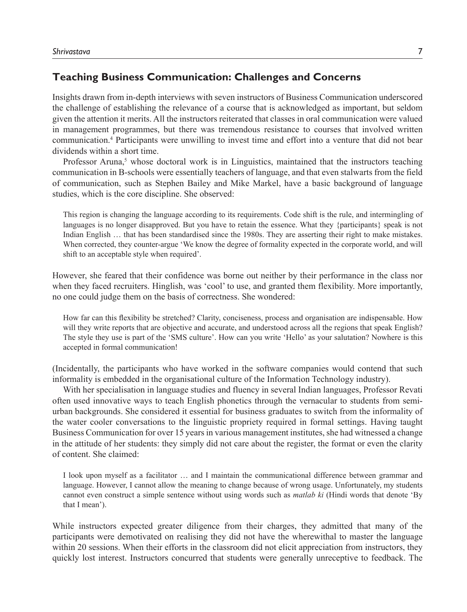### **Teaching Business Communication: Challenges and Concerns**

Insights drawn from in-depth interviews with seven instructors of Business Communication underscored the challenge of establishing the relevance of a course that is acknowledged as important, but seldom given the attention it merits. All the instructors reiterated that classes in oral communication were valued in management programmes, but there was tremendous resistance to courses that involved written communication.<sup>4</sup> Participants were unwilling to invest time and effort into a venture that did not bear dividends within a short time.

Professor Aruna,<sup>5</sup> whose doctoral work is in Linguistics, maintained that the instructors teaching communication in B-schools were essentially teachers of language, and that even stalwarts from the field of communication, such as Stephen Bailey and Mike Markel, have a basic background of language studies, which is the core discipline. She observed:

This region is changing the language according to its requirements. Code shift is the rule, and intermingling of languages is no longer disapproved. But you have to retain the essence. What they {participants} speak is not Indian English … that has been standardised since the 1980s. They are asserting their right to make mistakes. When corrected, they counter-argue 'We know the degree of formality expected in the corporate world, and will shift to an acceptable style when required'.

However, she feared that their confidence was borne out neither by their performance in the class nor when they faced recruiters. Hinglish, was 'cool' to use, and granted them flexibility. More importantly, no one could judge them on the basis of correctness. She wondered:

How far can this flexibility be stretched? Clarity, conciseness, process and organisation are indispensable. How will they write reports that are objective and accurate, and understood across all the regions that speak English? The style they use is part of the 'SMS culture'. How can you write 'Hello' as your salutation? Nowhere is this accepted in formal communication!

(Incidentally, the participants who have worked in the software companies would contend that such informality is embedded in the organisational culture of the Information Technology industry).

With her specialisation in language studies and fluency in several Indian languages, Professor Revati often used innovative ways to teach English phonetics through the vernacular to students from semiurban backgrounds. She considered it essential for business graduates to switch from the informality of the water cooler conversations to the linguistic propriety required in formal settings. Having taught Business Communication for over 15 years in various management institutes, she had witnessed a change in the attitude of her students: they simply did not care about the register, the format or even the clarity of content. She claimed:

I look upon myself as a facilitator … and I maintain the communicational difference between grammar and language. However, I cannot allow the meaning to change because of wrong usage. Unfortunately, my students cannot even construct a simple sentence without using words such as *matlab ki* (Hindi words that denote 'By that I mean').

While instructors expected greater diligence from their charges, they admitted that many of the participants were demotivated on realising they did not have the wherewithal to master the language within 20 sessions. When their efforts in the classroom did not elicit appreciation from instructors, they quickly lost interest. Instructors concurred that students were generally unreceptive to feedback. The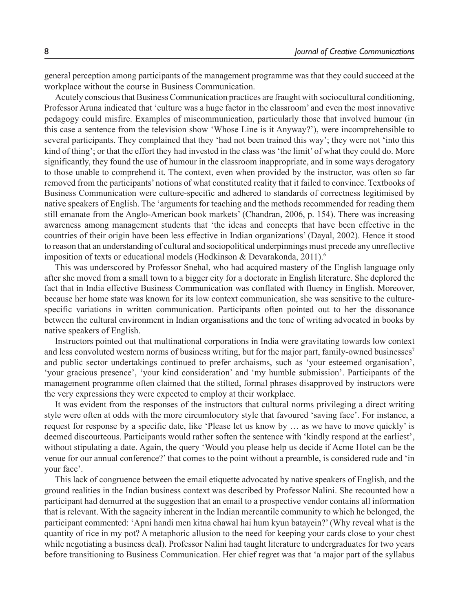general perception among participants of the management programme was that they could succeed at the workplace without the course in Business Communication.

Acutely conscious that Business Communication practices are fraught with sociocultural conditioning, Professor Aruna indicated that 'culture was a huge factor in the classroom' and even the most innovative pedagogy could misfire. Examples of miscommunication, particularly those that involved humour (in this case a sentence from the television show 'Whose Line is it Anyway?'), were incomprehensible to several participants. They complained that they 'had not been trained this way'; they were not 'into this kind of thing'; or that the effort they had invested in the class was 'the limit' of what they could do. More significantly, they found the use of humour in the classroom inappropriate, and in some ways derogatory to those unable to comprehend it. The context, even when provided by the instructor, was often so far removed from the participants' notions of what constituted reality that it failed to convince. Textbooks of Business Communication were culture-specific and adhered to standards of correctness legitimised by native speakers of English. The 'arguments for teaching and the methods recommended for reading them still emanate from the Anglo-American book markets' (Chandran, 2006, p. 154). There was increasing awareness among management students that 'the ideas and concepts that have been effective in the countries of their origin have been less effective in Indian organizations' (Dayal, 2002). Hence it stood to reason that an understanding of cultural and sociopolitical underpinnings must precede any unreflective imposition of texts or educational models (Hodkinson & Devarakonda, 2011).<sup>6</sup>

This was underscored by Professor Snehal, who had acquired mastery of the English language only after she moved from a small town to a bigger city for a doctorate in English literature. She deplored the fact that in India effective Business Communication was conflated with fluency in English. Moreover, because her home state was known for its low context communication, she was sensitive to the culturespecific variations in written communication. Participants often pointed out to her the dissonance between the cultural environment in Indian organisations and the tone of writing advocated in books by native speakers of English.

Instructors pointed out that multinational corporations in India were gravitating towards low context and less convoluted western norms of business writing, but for the major part, family-owned businesses<sup>7</sup> and public sector undertakings continued to prefer archaisms, such as 'your esteemed organisation', 'your gracious presence', 'your kind consideration' and 'my humble submission'. Participants of the management programme often claimed that the stilted, formal phrases disapproved by instructors were the very expressions they were expected to employ at their workplace.

It was evident from the responses of the instructors that cultural norms privileging a direct writing style were often at odds with the more circumlocutory style that favoured 'saving face'. For instance, a request for response by a specific date, like 'Please let us know by … as we have to move quickly' is deemed discourteous. Participants would rather soften the sentence with 'kindly respond at the earliest', without stipulating a date. Again, the query 'Would you please help us decide if Acme Hotel can be the venue for our annual conference?' that comes to the point without a preamble, is considered rude and 'in your face'.

This lack of congruence between the email etiquette advocated by native speakers of English, and the ground realities in the Indian business context was described by Professor Nalini. She recounted how a participant had demurred at the suggestion that an email to a prospective vendor contains all information that is relevant. With the sagacity inherent in the Indian mercantile community to which he belonged, the participant commented: 'Apni handi men kitna chawal hai hum kyun batayein?' (Why reveal what is the quantity of rice in my pot? A metaphoric allusion to the need for keeping your cards close to your chest while negotiating a business deal). Professor Nalini had taught literature to undergraduates for two years before transitioning to Business Communication. Her chief regret was that 'a major part of the syllabus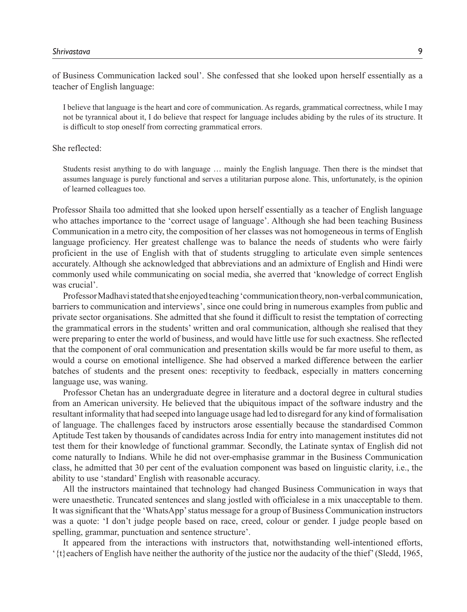of Business Communication lacked soul'. She confessed that she looked upon herself essentially as a teacher of English language:

I believe that language is the heart and core of communication. As regards, grammatical correctness, while I may not be tyrannical about it, I do believe that respect for language includes abiding by the rules of its structure. It is difficult to stop oneself from correcting grammatical errors.

#### She reflected:

Students resist anything to do with language … mainly the English language. Then there is the mindset that assumes language is purely functional and serves a utilitarian purpose alone. This, unfortunately, is the opinion of learned colleagues too.

Professor Shaila too admitted that she looked upon herself essentially as a teacher of English language who attaches importance to the 'correct usage of language'. Although she had been teaching Business Communication in a metro city, the composition of her classes was not homogeneous in terms of English language proficiency. Her greatest challenge was to balance the needs of students who were fairly proficient in the use of English with that of students struggling to articulate even simple sentences accurately. Although she acknowledged that abbreviations and an admixture of English and Hindi were commonly used while communicating on social media, she averred that 'knowledge of correct English was crucial'.

Professor Madhavi stated that she enjoyed teaching 'communication theory, non-verbal communication, barriers to communication and interviews', since one could bring in numerous examples from public and private sector organisations. She admitted that she found it difficult to resist the temptation of correcting the grammatical errors in the students' written and oral communication, although she realised that they were preparing to enter the world of business, and would have little use for such exactness. She reflected that the component of oral communication and presentation skills would be far more useful to them, as would a course on emotional intelligence. She had observed a marked difference between the earlier batches of students and the present ones: receptivity to feedback, especially in matters concerning language use, was waning.

Professor Chetan has an undergraduate degree in literature and a doctoral degree in cultural studies from an American university. He believed that the ubiquitous impact of the software industry and the resultant informality that had seeped into language usage had led to disregard for any kind of formalisation of language. The challenges faced by instructors arose essentially because the standardised Common Aptitude Test taken by thousands of candidates across India for entry into management institutes did not test them for their knowledge of functional grammar. Secondly, the Latinate syntax of English did not come naturally to Indians. While he did not over-emphasise grammar in the Business Communication class, he admitted that 30 per cent of the evaluation component was based on linguistic clarity, i.e., the ability to use 'standard' English with reasonable accuracy.

All the instructors maintained that technology had changed Business Communication in ways that were unaesthetic. Truncated sentences and slang jostled with officialese in a mix unacceptable to them. It was significant that the 'WhatsApp' status message for a group of Business Communication instructors was a quote: 'I don't judge people based on race, creed, colour or gender. I judge people based on spelling, grammar, punctuation and sentence structure'.

It appeared from the interactions with instructors that, notwithstanding well-intentioned efforts, '{t}eachers of English have neither the authority of the justice nor the audacity of the thief' (Sledd, 1965,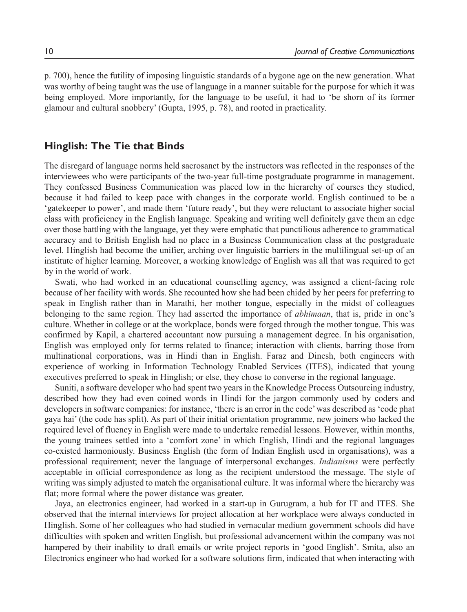p. 700), hence the futility of imposing linguistic standards of a bygone age on the new generation. What was worthy of being taught was the use of language in a manner suitable for the purpose for which it was being employed. More importantly, for the language to be useful, it had to 'be shorn of its former glamour and cultural snobbery' (Gupta, 1995, p. 78), and rooted in practicality.

#### **Hinglish: The Tie that Binds**

The disregard of language norms held sacrosanct by the instructors was reflected in the responses of the interviewees who were participants of the two-year full-time postgraduate programme in management. They confessed Business Communication was placed low in the hierarchy of courses they studied, because it had failed to keep pace with changes in the corporate world. English continued to be a 'gatekeeper to power', and made them 'future ready', but they were reluctant to associate higher social class with proficiency in the English language. Speaking and writing well definitely gave them an edge over those battling with the language, yet they were emphatic that punctilious adherence to grammatical accuracy and to British English had no place in a Business Communication class at the postgraduate level. Hinglish had become the unifier, arching over linguistic barriers in the multilingual set-up of an institute of higher learning. Moreover, a working knowledge of English was all that was required to get by in the world of work.

Swati, who had worked in an educational counselling agency, was assigned a client-facing role because of her facility with words. She recounted how she had been chided by her peers for preferring to speak in English rather than in Marathi, her mother tongue, especially in the midst of colleagues belonging to the same region. They had asserted the importance of *abhimaan*, that is, pride in one's culture. Whether in college or at the workplace, bonds were forged through the mother tongue. This was confirmed by Kapil, a chartered accountant now pursuing a management degree. In his organisation, English was employed only for terms related to finance; interaction with clients, barring those from multinational corporations, was in Hindi than in English. Faraz and Dinesh, both engineers with experience of working in Information Technology Enabled Services (ITES), indicated that young executives preferred to speak in Hinglish; or else, they chose to converse in the regional language.

Suniti, a software developer who had spent two years in the Knowledge Process Outsourcing industry, described how they had even coined words in Hindi for the jargon commonly used by coders and developers in software companies: for instance, 'there is an error in the code' was described as 'code phat gaya hai' (the code has split). As part of their initial orientation programme, new joiners who lacked the required level of fluency in English were made to undertake remedial lessons. However, within months, the young trainees settled into a 'comfort zone' in which English, Hindi and the regional languages co-existed harmoniously. Business English (the form of Indian English used in organisations), was a professional requirement; never the language of interpersonal exchanges. *Indianisms* were perfectly acceptable in official correspondence as long as the recipient understood the message. The style of writing was simply adjusted to match the organisational culture. It was informal where the hierarchy was flat; more formal where the power distance was greater.

Jaya, an electronics engineer, had worked in a start-up in Gurugram, a hub for IT and ITES. She observed that the internal interviews for project allocation at her workplace were always conducted in Hinglish. Some of her colleagues who had studied in vernacular medium government schools did have difficulties with spoken and written English, but professional advancement within the company was not hampered by their inability to draft emails or write project reports in 'good English'. Smita, also an Electronics engineer who had worked for a software solutions firm, indicated that when interacting with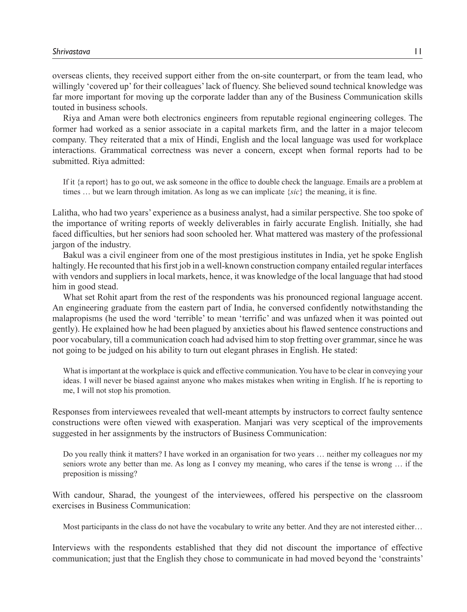overseas clients, they received support either from the on-site counterpart, or from the team lead, who willingly 'covered up' for their colleagues' lack of fluency. She believed sound technical knowledge was far more important for moving up the corporate ladder than any of the Business Communication skills touted in business schools.

Riya and Aman were both electronics engineers from reputable regional engineering colleges. The former had worked as a senior associate in a capital markets firm, and the latter in a major telecom company. They reiterated that a mix of Hindi, English and the local language was used for workplace interactions. Grammatical correctness was never a concern, except when formal reports had to be submitted. Riya admitted:

If it {a report} has to go out, we ask someone in the office to double check the language. Emails are a problem at times … but we learn through imitation. As long as we can implicate {*sic*} the meaning, it is fine.

Lalitha, who had two years' experience as a business analyst, had a similar perspective. She too spoke of the importance of writing reports of weekly deliverables in fairly accurate English. Initially, she had faced difficulties, but her seniors had soon schooled her. What mattered was mastery of the professional jargon of the industry.

Bakul was a civil engineer from one of the most prestigious institutes in India, yet he spoke English haltingly. He recounted that his first job in a well-known construction company entailed regular interfaces with vendors and suppliers in local markets, hence, it was knowledge of the local language that had stood him in good stead.

What set Rohit apart from the rest of the respondents was his pronounced regional language accent. An engineering graduate from the eastern part of India, he conversed confidently notwithstanding the malapropisms (he used the word 'terrible' to mean 'terrific' and was unfazed when it was pointed out gently). He explained how he had been plagued by anxieties about his flawed sentence constructions and poor vocabulary, till a communication coach had advised him to stop fretting over grammar, since he was not going to be judged on his ability to turn out elegant phrases in English. He stated:

What is important at the workplace is quick and effective communication. You have to be clear in conveying your ideas. I will never be biased against anyone who makes mistakes when writing in English. If he is reporting to me, I will not stop his promotion.

Responses from interviewees revealed that well-meant attempts by instructors to correct faulty sentence constructions were often viewed with exasperation. Manjari was very sceptical of the improvements suggested in her assignments by the instructors of Business Communication:

Do you really think it matters? I have worked in an organisation for two years … neither my colleagues nor my seniors wrote any better than me. As long as I convey my meaning, who cares if the tense is wrong ... if the preposition is missing?

With candour, Sharad, the youngest of the interviewees, offered his perspective on the classroom exercises in Business Communication:

Most participants in the class do not have the vocabulary to write any better. And they are not interested either…

Interviews with the respondents established that they did not discount the importance of effective communication; just that the English they chose to communicate in had moved beyond the 'constraints'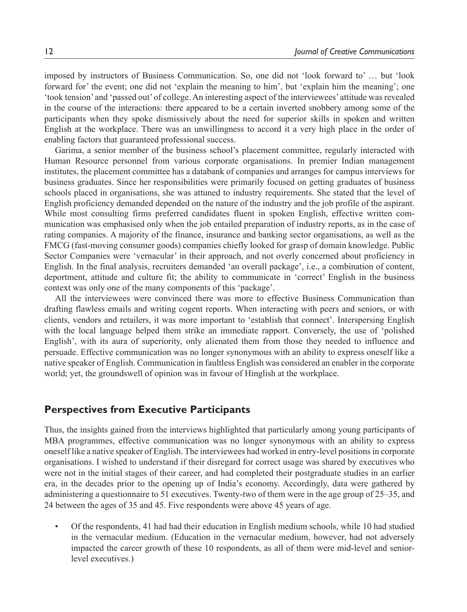imposed by instructors of Business Communication. So, one did not 'look forward to' … but 'look forward for' the event; one did not 'explain the meaning to him', but 'explain him the meaning'; one 'took tension' and 'passed out' of college. An interesting aspect of the interviewees' attitude was revealed in the course of the interactions: there appeared to be a certain inverted snobbery among some of the participants when they spoke dismissively about the need for superior skills in spoken and written English at the workplace. There was an unwillingness to accord it a very high place in the order of enabling factors that guaranteed professional success.

Garima, a senior member of the business school's placement committee, regularly interacted with Human Resource personnel from various corporate organisations. In premier Indian management institutes, the placement committee has a databank of companies and arranges for campus interviews for business graduates. Since her responsibilities were primarily focused on getting graduates of business schools placed in organisations, she was attuned to industry requirements. She stated that the level of English proficiency demanded depended on the nature of the industry and the job profile of the aspirant. While most consulting firms preferred candidates fluent in spoken English, effective written communication was emphasised only when the job entailed preparation of industry reports, as in the case of rating companies. A majority of the finance, insurance and banking sector organisations, as well as the FMCG (fast-moving consumer goods) companies chiefly looked for grasp of domain knowledge. Public Sector Companies were 'vernacular' in their approach, and not overly concerned about proficiency in English. In the final analysis, recruiters demanded 'an overall package', i.e., a combination of content, deportment, attitude and culture fit; the ability to communicate in 'correct' English in the business context was only one of the many components of this 'package'.

All the interviewees were convinced there was more to effective Business Communication than drafting flawless emails and writing cogent reports. When interacting with peers and seniors, or with clients, vendors and retailers, it was more important to 'establish that connect'. Interspersing English with the local language helped them strike an immediate rapport. Conversely, the use of 'polished English', with its aura of superiority, only alienated them from those they needed to influence and persuade. Effective communication was no longer synonymous with an ability to express oneself like a native speaker of English. Communication in faultless English was considered an enabler in the corporate world; yet, the groundswell of opinion was in favour of Hinglish at the workplace.

#### **Perspectives from Executive Participants**

Thus, the insights gained from the interviews highlighted that particularly among young participants of MBA programmes, effective communication was no longer synonymous with an ability to express oneself like a native speaker of English. The interviewees had worked in entry-level positions in corporate organisations. I wished to understand if their disregard for correct usage was shared by executives who were not in the initial stages of their career, and had completed their postgraduate studies in an earlier era, in the decades prior to the opening up of India's economy. Accordingly, data were gathered by administering a questionnaire to 51 executives. Twenty-two of them were in the age group of 25–35, and 24 between the ages of 35 and 45. Five respondents were above 45 years of age.

• Of the respondents, 41 had had their education in English medium schools, while 10 had studied in the vernacular medium. (Education in the vernacular medium, however, had not adversely impacted the career growth of these 10 respondents, as all of them were mid-level and seniorlevel executives.)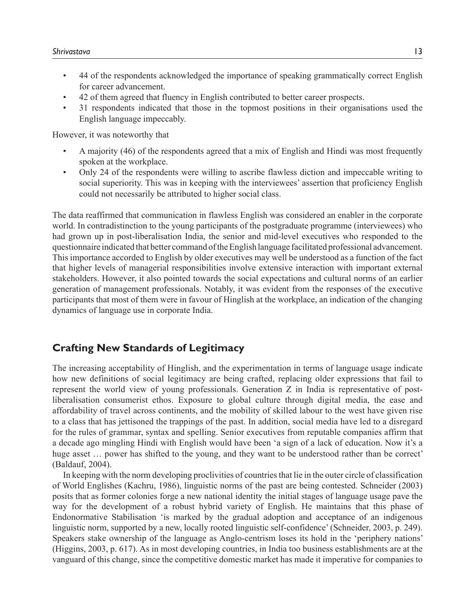- 44 of the respondents acknowledged the importance of speaking grammatically correct English for career advancement.
- 42 of them agreed that fluency in English contributed to better career prospects.
- 31 respondents indicated that those in the topmost positions in their organisations used the English language impeccably.

However, it was noteworthy that

- A majority (46) of the respondents agreed that a mix of English and Hindi was most frequently spoken at the workplace.
- Only 24 of the respondents were willing to ascribe flawless diction and impeccable writing to social superiority. This was in keeping with the interviewees' assertion that proficiency English could not necessarily be attributed to higher social class.

The data reaffirmed that communication in flawless English was considered an enabler in the corporate world. In contradistinction to the young participants of the postgraduate programme (interviewees) who had grown up in post-liberalisation India, the senior and mid-level executives who responded to the questionnaire indicated that better command of the English language facilitated professional advancement. This importance accorded to English by older executives may well be understood as a function of the fact that higher levels of managerial responsibilities involve extensive interaction with important external stakeholders. However, it also pointed towards the social expectations and cultural norms of an earlier generation of management professionals. Notably, it was evident from the responses of the executive participants that most of them were in favour of Hinglish at the workplace, an indication of the changing dynamics of language use in corporate India.

## **Crafting New Standards of Legitimacy**

The increasing acceptability of Hinglish, and the experimentation in terms of language usage indicate how new definitions of social legitimacy are being crafted, replacing older expressions that fail to represent the world view of young professionals. Generation Z in India is representative of postliberalisation consumerist ethos. Exposure to global culture through digital media, the ease and affordability of travel across continents, and the mobility of skilled labour to the west have given rise to a class that has jettisoned the trappings of the past. In addition, social media have led to a disregard for the rules of grammar, syntax and spelling. Senior executives from reputable companies affirm that a decade ago mingling Hindi with English would have been 'a sign of a lack of education. Now it's a huge asset ... power has shifted to the young, and they want to be understood rather than be correct' (Baldauf, 2004).

In keeping with the norm developing proclivities of countries that lie in the outer circle of classification of World Englishes (Kachru, 1986), linguistic norms of the past are being contested. Schneider (2003) posits that as former colonies forge a new national identity the initial stages of language usage pave the way for the development of a robust hybrid variety of English. He maintains that this phase of Endonormative Stabilisation 'is marked by the gradual adoption and acceptance of an indigenous linguistic norm, supported by a new, locally rooted linguistic self-confidence' (Schneider, 2003, p. 249). Speakers stake ownership of the language as Anglo-centrism loses its hold in the 'periphery nations' (Higgins, 2003, p. 617). As in most developing countries, in India too business establishments are at the vanguard of this change, since the competitive domestic market has made it imperative for companies to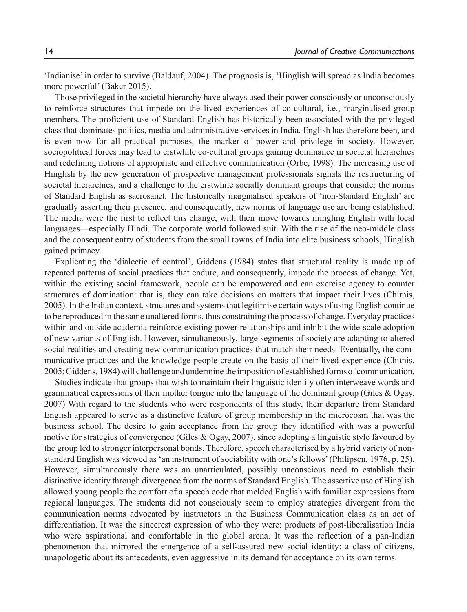'Indianise' in order to survive (Baldauf, 2004). The prognosis is, 'Hinglish will spread as India becomes more powerful' (Baker 2015).

Those privileged in the societal hierarchy have always used their power consciously or unconsciously to reinforce structures that impede on the lived experiences of co-cultural, i.e., marginalised group members. The proficient use of Standard English has historically been associated with the privileged class that dominates politics, media and administrative services in India. English has therefore been, and is even now for all practical purposes, the marker of power and privilege in society. However, sociopolitical forces may lead to erstwhile co-cultural groups gaining dominance in societal hierarchies and redefining notions of appropriate and effective communication (Orbe, 1998). The increasing use of Hinglish by the new generation of prospective management professionals signals the restructuring of societal hierarchies, and a challenge to the erstwhile socially dominant groups that consider the norms of Standard English as sacrosanct. The historically marginalised speakers of 'non-Standard English' are gradually asserting their presence, and consequently, new norms of language use are being established. The media were the first to reflect this change, with their move towards mingling English with local languages—especially Hindi. The corporate world followed suit. With the rise of the neo-middle class and the consequent entry of students from the small towns of India into elite business schools, Hinglish gained primacy.

Explicating the 'dialectic of control', Giddens (1984) states that structural reality is made up of repeated patterns of social practices that endure, and consequently, impede the process of change. Yet, within the existing social framework, people can be empowered and can exercise agency to counter structures of domination: that is, they can take decisions on matters that impact their lives (Chitnis, 2005). In the Indian context, structures and systems that legitimise certain ways of using English continue to be reproduced in the same unaltered forms, thus constraining the process of change. Everyday practices within and outside academia reinforce existing power relationships and inhibit the wide-scale adoption of new variants of English. However, simultaneously, large segments of society are adapting to altered social realities and creating new communication practices that match their needs. Eventually, the communicative practices and the knowledge people create on the basis of their lived experience (Chitnis, 2005; Giddens, 1984) will challenge and undermine the imposition of established forms of communication.

Studies indicate that groups that wish to maintain their linguistic identity often interweave words and grammatical expressions of their mother tongue into the language of the dominant group (Giles & Ogay, 2007) With regard to the students who were respondents of this study, their departure from Standard English appeared to serve as a distinctive feature of group membership in the microcosm that was the business school. The desire to gain acceptance from the group they identified with was a powerful motive for strategies of convergence (Giles & Ogay, 2007), since adopting a linguistic style favoured by the group led to stronger interpersonal bonds. Therefore, speech characterised by a hybrid variety of nonstandard English was viewed as 'an instrument of sociability with one's fellows' (Philipsen, 1976, p. 25). However, simultaneously there was an unarticulated, possibly unconscious need to establish their distinctive identity through divergence from the norms of Standard English. The assertive use of Hinglish allowed young people the comfort of a speech code that melded English with familiar expressions from regional languages. The students did not consciously seem to employ strategies divergent from the communication norms advocated by instructors in the Business Communication class as an act of differentiation. It was the sincerest expression of who they were: products of post-liberalisation India who were aspirational and comfortable in the global arena. It was the reflection of a pan-Indian phenomenon that mirrored the emergence of a self-assured new social identity: a class of citizens, unapologetic about its antecedents, even aggressive in its demand for acceptance on its own terms.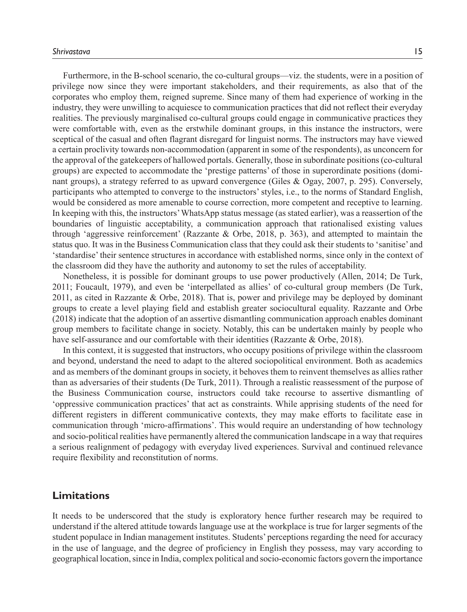*Shrivastava* 15

Furthermore, in the B-school scenario, the co-cultural groups—viz. the students, were in a position of privilege now since they were important stakeholders, and their requirements, as also that of the corporates who employ them, reigned supreme. Since many of them had experience of working in the industry, they were unwilling to acquiesce to communication practices that did not reflect their everyday realities. The previously marginalised co-cultural groups could engage in communicative practices they were comfortable with, even as the erstwhile dominant groups, in this instance the instructors, were sceptical of the casual and often flagrant disregard for linguist norms. The instructors may have viewed a certain proclivity towards non-accommodation (apparent in some of the respondents), as unconcern for the approval of the gatekeepers of hallowed portals. Generally, those in subordinate positions (co-cultural groups) are expected to accommodate the 'prestige patterns' of those in superordinate positions (dominant groups), a strategy referred to as upward convergence (Giles & Ogay, 2007, p. 295). Conversely, participants who attempted to converge to the instructors' styles, i.e., to the norms of Standard English, would be considered as more amenable to course correction, more competent and receptive to learning. In keeping with this, the instructors' WhatsApp status message (as stated earlier), was a reassertion of the boundaries of linguistic acceptability, a communication approach that rationalised existing values through 'aggressive reinforcement' (Razzante & Orbe, 2018, p. 363), and attempted to maintain the status quo. It was in the Business Communication class that they could ask their students to 'sanitise' and 'standardise' their sentence structures in accordance with established norms, since only in the context of the classroom did they have the authority and autonomy to set the rules of acceptability.

Nonetheless, it is possible for dominant groups to use power productively (Allen, 2014; De Turk, 2011; Foucault, 1979), and even be 'interpellated as allies' of co-cultural group members (De Turk, 2011, as cited in Razzante & Orbe, 2018). That is, power and privilege may be deployed by dominant groups to create a level playing field and establish greater sociocultural equality. Razzante and Orbe (2018) indicate that the adoption of an assertive dismantling communication approach enables dominant group members to facilitate change in society. Notably, this can be undertaken mainly by people who have self-assurance and our comfortable with their identities (Razzante & Orbe, 2018).

In this context, it is suggested that instructors, who occupy positions of privilege within the classroom and beyond, understand the need to adapt to the altered sociopolitical environment. Both as academics and as members of the dominant groups in society, it behoves them to reinvent themselves as allies rather than as adversaries of their students (De Turk, 2011). Through a realistic reassessment of the purpose of the Business Communication course, instructors could take recourse to assertive dismantling of 'oppressive communication practices' that act as constraints. While apprising students of the need for different registers in different communicative contexts, they may make efforts to facilitate ease in communication through 'micro-affirmations'. This would require an understanding of how technology and socio-political realities have permanently altered the communication landscape in a way that requires a serious realignment of pedagogy with everyday lived experiences. Survival and continued relevance require flexibility and reconstitution of norms.

## **Limitations**

It needs to be underscored that the study is exploratory hence further research may be required to understand if the altered attitude towards language use at the workplace is true for larger segments of the student populace in Indian management institutes. Students' perceptions regarding the need for accuracy in the use of language, and the degree of proficiency in English they possess, may vary according to geographical location, since in India, complex political and socio-economic factors govern the importance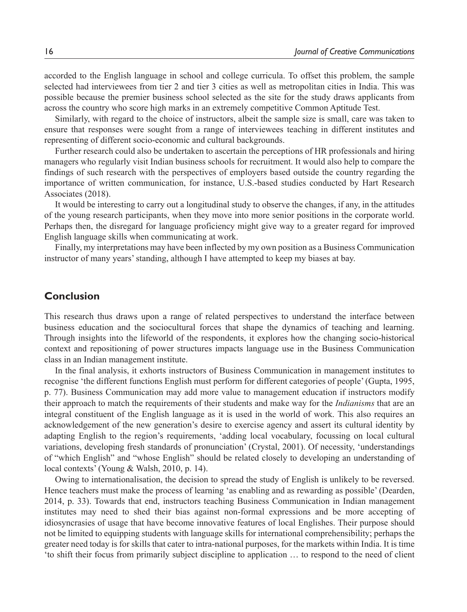accorded to the English language in school and college curricula. To offset this problem, the sample selected had interviewees from tier 2 and tier 3 cities as well as metropolitan cities in India. This was possible because the premier business school selected as the site for the study draws applicants from across the country who score high marks in an extremely competitive Common Aptitude Test.

Similarly, with regard to the choice of instructors, albeit the sample size is small, care was taken to ensure that responses were sought from a range of interviewees teaching in different institutes and representing of different socio-economic and cultural backgrounds.

Further research could also be undertaken to ascertain the perceptions of HR professionals and hiring managers who regularly visit Indian business schools for recruitment. It would also help to compare the findings of such research with the perspectives of employers based outside the country regarding the importance of written communication, for instance, U.S.-based studies conducted by Hart Research Associates (2018).

It would be interesting to carry out a longitudinal study to observe the changes, if any, in the attitudes of the young research participants, when they move into more senior positions in the corporate world. Perhaps then, the disregard for language proficiency might give way to a greater regard for improved English language skills when communicating at work.

Finally, my interpretations may have been inflected by my own position as a Business Communication instructor of many years' standing, although I have attempted to keep my biases at bay.

## **Conclusion**

This research thus draws upon a range of related perspectives to understand the interface between business education and the sociocultural forces that shape the dynamics of teaching and learning. Through insights into the lifeworld of the respondents, it explores how the changing socio-historical context and repositioning of power structures impacts language use in the Business Communication class in an Indian management institute.

In the final analysis, it exhorts instructors of Business Communication in management institutes to recognise 'the different functions English must perform for different categories of people' (Gupta, 1995, p. 77). Business Communication may add more value to management education if instructors modify their approach to match the requirements of their students and make way for the *Indianisms* that are an integral constituent of the English language as it is used in the world of work. This also requires an acknowledgement of the new generation's desire to exercise agency and assert its cultural identity by adapting English to the region's requirements, 'adding local vocabulary, focussing on local cultural variations, developing fresh standards of pronunciation' (Crystal, 2001). Of necessity, 'understandings of "which English" and "whose English" should be related closely to developing an understanding of local contexts' (Young & Walsh, 2010, p. 14).

Owing to internationalisation, the decision to spread the study of English is unlikely to be reversed. Hence teachers must make the process of learning 'as enabling and as rewarding as possible' (Dearden, 2014, p. 33). Towards that end, instructors teaching Business Communication in Indian management institutes may need to shed their bias against non-formal expressions and be more accepting of idiosyncrasies of usage that have become innovative features of local Englishes. Their purpose should not be limited to equipping students with language skills for international comprehensibility; perhaps the greater need today is for skills that cater to intra-national purposes, for the markets within India. It is time 'to shift their focus from primarily subject discipline to application … to respond to the need of client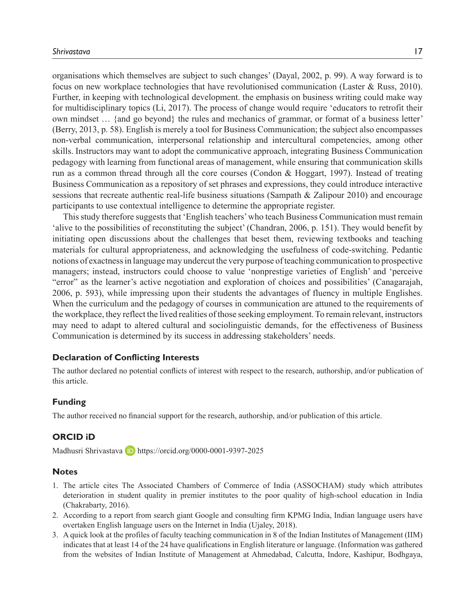organisations which themselves are subject to such changes' (Dayal, 2002, p. 99). A way forward is to focus on new workplace technologies that have revolutionised communication (Laster & Russ, 2010). Further, in keeping with technological development. the emphasis on business writing could make way for multidisciplinary topics (Li, 2017). The process of change would require 'educators to retrofit their own mindset … {and go beyond} the rules and mechanics of grammar, or format of a business letter' (Berry, 2013, p. 58). English is merely a tool for Business Communication; the subject also encompasses non-verbal communication, interpersonal relationship and intercultural competencies, among other skills. Instructors may want to adopt the communicative approach, integrating Business Communication pedagogy with learning from functional areas of management, while ensuring that communication skills run as a common thread through all the core courses (Condon & Hoggart, 1997). Instead of treating Business Communication as a repository of set phrases and expressions, they could introduce interactive sessions that recreate authentic real-life business situations (Sampath & Zalipour 2010) and encourage participants to use contextual intelligence to determine the appropriate register.

This study therefore suggests that 'English teachers' who teach Business Communication must remain 'alive to the possibilities of reconstituting the subject' (Chandran, 2006, p. 151). They would benefit by initiating open discussions about the challenges that beset them, reviewing textbooks and teaching materials for cultural appropriateness, and acknowledging the usefulness of code-switching. Pedantic notions of exactness in language may undercut the very purpose of teaching communication to prospective managers; instead, instructors could choose to value 'nonprestige varieties of English' and 'perceive "error" as the learner's active negotiation and exploration of choices and possibilities' (Canagarajah, 2006, p. 593), while impressing upon their students the advantages of fluency in multiple Englishes. When the curriculum and the pedagogy of courses in communication are attuned to the requirements of the workplace, they reflect the lived realities of those seeking employment. To remain relevant, instructors may need to adapt to altered cultural and sociolinguistic demands, for the effectiveness of Business Communication is determined by its success in addressing stakeholders' needs.

#### **Declaration of Conflicting Interests**

The author declared no potential conflicts of interest with respect to the research, authorship, and/or publication of this article.

#### **Funding**

The author received no financial support for the research, authorship, and/or publication of this article.

#### **ORCID iD**

Madhusri Shrivastava D https://orcid.org/0000-0001-9397-2025

#### **Notes**

- 1. The article cites The Associated Chambers of Commerce of India (ASSOCHAM) study which attributes deterioration in student quality in premier institutes to the poor quality of high-school education in India (Chakrabarty, 2016).
- 2. According to a report from search giant Google and consulting firm KPMG India, Indian language users have overtaken English language users on the Internet in India (Ujaley, 2018).
- 3. A quick look at the profiles of faculty teaching communication in 8 of the Indian Institutes of Management (IIM) indicates that at least 14 of the 24 have qualifications in English literature or language. (Information was gathered from the websites of Indian Institute of Management at Ahmedabad, Calcutta, Indore, Kashipur, Bodhgaya,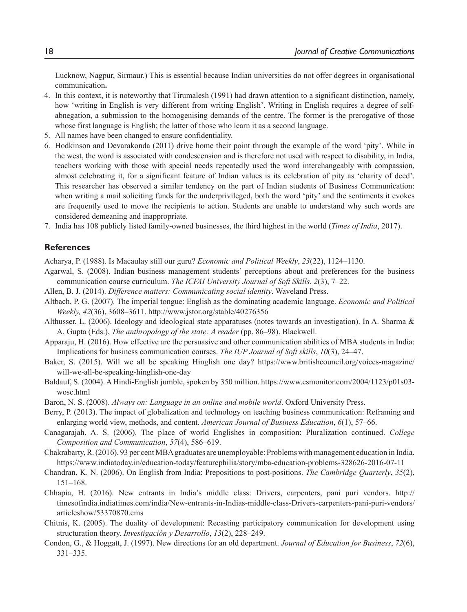Lucknow, Nagpur, Sirmaur.) This is essential because Indian universities do not offer degrees in organisational communication**.**

- 4. In this context, it is noteworthy that Tirumalesh (1991) had drawn attention to a significant distinction, namely, how 'writing in English is very different from writing English'. Writing in English requires a degree of selfabnegation, a submission to the homogenising demands of the centre. The former is the prerogative of those whose first language is English; the latter of those who learn it as a second language.
- 5. All names have been changed to ensure confidentiality.
- 6. Hodkinson and Devarakonda (2011) drive home their point through the example of the word 'pity'. While in the west, the word is associated with condescension and is therefore not used with respect to disability, in India, teachers working with those with special needs repeatedly used the word interchangeably with compassion, almost celebrating it, for a significant feature of Indian values is its celebration of pity as 'charity of deed'. This researcher has observed a similar tendency on the part of Indian students of Business Communication: when writing a mail soliciting funds for the underprivileged, both the word 'pity' and the sentiments it evokes are frequently used to move the recipients to action. Students are unable to understand why such words are considered demeaning and inappropriate.
- 7. India has 108 publicly listed family-owned businesses, the third highest in the world (*Times of India*, 2017).

#### **References**

Acharya, P. (1988). Is Macaulay still our guru? *Economic and Political Weekly*, *23*(22), 1124–1130.

- Agarwal, S. (2008). Indian business management students' perceptions about and preferences for the business communication course curriculum. *The ICFAI University Journal of Soft Skills*, *2*(3), 7–22.
- Allen, B. J. (2014). *Difference matters: Communicating social identity*. Waveland Press.
- Altbach, P. G. (2007). The imperial tongue: English as the dominating academic language. *Economic and Political Weekly, 42*(36), 3608–3611. http://www.jstor.org/stable/40276356
- Althusser, L. (2006). Ideology and ideological state apparatuses (notes towards an investigation). In A. Sharma & A. Gupta (Eds.), *The anthropology of the state: A reader* (pp. 86–98). Blackwell.
- Apparaju, H. (2016). How effective are the persuasive and other communication abilities of MBA students in India: Implications for business communication courses. *The IUP Journal of Soft skills*, *10*(3), 24–47.
- Baker, S. (2015). Will we all be speaking Hinglish one day? https://www.britishcouncil.org/voices-magazine/ will-we-all-be-speaking-hinglish-one-day
- Baldauf, S. (2004). A Hindi-English jumble, spoken by 350 million. https://www.csmonitor.com/2004/1123/p01s03 wosc.html
- Baron, N. S. (2008). *Always on: Language in an online and mobile world*. Oxford University Press.
- Berry, P. (2013). The impact of globalization and technology on teaching business communication: Reframing and enlarging world view, methods, and content. *American Journal of Business Education*, *6*(1), 57–66.
- Canagarajah, A. S. (2006). The place of world Englishes in composition: Pluralization continued. *College Composition and Communication*, *57*(4), 586–619.
- Chakrabarty, R. (2016). 93 per cent MBA graduates are unemployable: Problems with management education in India. https://www.indiatoday.in/education-today/featurephilia/story/mba-education-problems-328626-2016-07-11
- Chandran, K. N. (2006). On English from India: Prepositions to post-positions. *The Cambridge Quarterly*, *35*(2), 151–168.
- Chhapia, H. (2016). New entrants in India's middle class: Drivers, carpenters, pani puri vendors. http:// timesofindia.indiatimes.com/india/New-entrants-in-Indias-middle-class-Drivers-carpenters-pani-puri-vendors/ articleshow/53370870.cms
- Chitnis, K. (2005). The duality of development: Recasting participatory communication for development using structuration theory. *Investigación y Desarrollo*, *13*(2), 228–249.
- Condon, G., & Hoggatt, J. (1997). New directions for an old department. *Journal of Education for Business*, *72*(6), 331–335.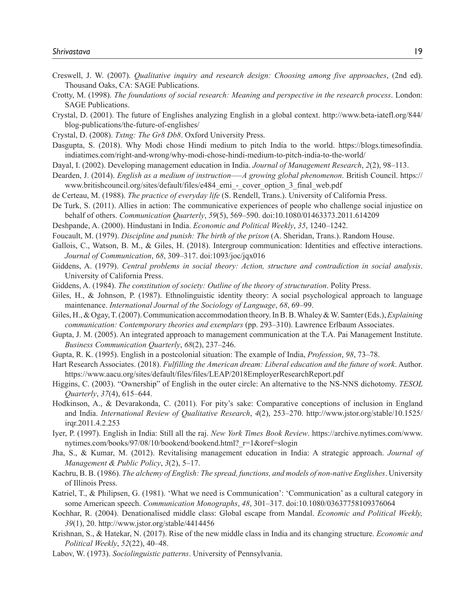- Creswell, J. W. (2007). *Qualitative inquiry and research design: Choosing among five approaches*, (2nd ed). Thousand Oaks, CA: SAGE Publications.
- Crotty, M. (1998). *The foundations of social research: Meaning and perspective in the research process*. London: SAGE Publications.
- Crystal, D. (2001). The future of Englishes analyzing English in a global context. http://www.beta-iatefl.org/844/ blog-publications/the-future-of-englishes/
- Crystal, D. (2008). *Txtng: The Gr8 Db8*. Oxford University Press.
- Dasgupta, S. (2018). Why Modi chose Hindi medium to pitch India to the world. https://blogs.timesofindia. indiatimes.com/right-and-wrong/why-modi-chose-hindi-medium-to-pitch-india-to-the-world/
- Dayal, I. (2002). Developing management education in India. *Journal of Management Research*, *2*(2), 98–113.
- Dearden, J. (2014). *English as a medium of instruction—–A growing global phenomenon*. British Council. https:// www.britishcouncil.org/sites/default/files/e484\_emi\_-\_cover\_option\_3\_final\_web.pdf
- de Certeau, M. (1988). *The practice of everyday life* (S. Rendell, Trans.). University of California Press.
- De Turk, S. (2011). Allies in action: The communicative experiences of people who challenge social injustice on behalf of others. *Communication Quarterly*, *59*(5), 569–590. doi:10.1080/01463373.2011.614209
- Deshpande, A. (2000). Hindustani in India. *Economic and Political Weekly*, *35*, 1240–1242.
- Foucault, M. (1979). *Discipline and punish: The birth of the prison* (A. Sheridan, Trans.). Random House.
- Gallois, C., Watson, B. M., & Giles, H. (2018). Intergroup communication: Identities and effective interactions. *Journal of Communication*, *68*, 309–317. doi:1093/joc/jqx016
- Giddens, A. (1979). *Central problems in social theory: Action, structure and contradiction in social analysis*. University of California Press.
- Giddens, A. (1984). *The constitution of society: Outline of the theory of structuration*. Polity Press.
- Giles, H., & Johnson, P. (1987). Ethnolinguistic identity theory: A social psychological approach to language maintenance. *International Journal of the Sociology of Language*, *68*, 69–99.
- Giles, H., & Ogay, T. (2007). Communication accommodation theory. In B. B. Whaley & W. Samter (Eds.), *Explaining communication: Contemporary theories and exemplars* (pp. 293–310). Lawrence Erlbaum Associates.
- Gupta, J. M. (2005). An integrated approach to management communication at the T.A. Pai Management Institute. *Business Communication Quarterly*, *68*(2), 237–246.
- Gupta, R. K. (1995). English in a postcolonial situation: The example of India, *Profession*, *98*, 73–78.
- Hart Research Associates. (2018). *Fulfilling the American dream: Liberal education and the future of work*. Author. https://www.aacu.org/sites/default/files/files/LEAP/2018EmployerResearchReport.pdf
- Higgins, C. (2003). "Ownership" of English in the outer circle: An alternative to the NS-NNS dichotomy. *TESOL Quarterly*, *37*(4), 615–644.
- Hodkinson, A., & Devarakonda, C. (2011). For pity's sake: Comparative conceptions of inclusion in England and India. *International Review of Qualitative Research*, *4*(2), 253–270. http://www.jstor.org/stable/10.1525/ irqr.2011.4.2.253
- Iyer, P. (1997). English in India: Still all the raj. *New York Times Book Review*. https://archive.nytimes.com/www. nytimes.com/books/97/08/10/bookend/bookend.html?\_r=1&oref=slogin
- Jha, S., & Kumar, M. (2012). Revitalising management education in India: A strategic approach. *Journal of Management & Public Policy*, *3*(2), 5–17.
- Kachru, B. B. (1986). *The alchemy of English: The spread, functions, and models of non-native Englishes*. University of Illinois Press.
- Katriel, T., & Philipsen, G. (1981). 'What we need is Communication': 'Communication' as a cultural category in some American speech. *Communication Monographs*, *48*, 301–317. doi:10.1080/03637758109376064
- Kochhar, R. (2004). Denationalised middle class: Global escape from Mandal. *Economic and Political Weekly, 39*(1), 20. http://www.jstor.org/stable/4414456
- Krishnan, S., & Hatekar, N. (2017). Rise of the new middle class in India and its changing structure. *Economic and Political Weekly*, *52*(22), 40–48.
- Labov, W. (1973). *Sociolinguistic patterns*. University of Pennsylvania.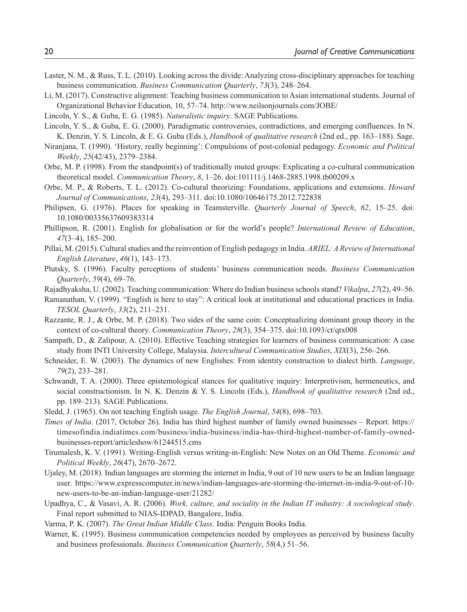- Laster, N. M., & Russ, T. L. (2010). Looking across the divide: Analyzing cross-disciplinary approaches for teaching business communication. *Business Communication Quarterly*, *73*(3), 248–264.
- Li, M. (2017). Constructive alignment: Teaching business communication to Asian international students. Journal of Organizational Behavior Education, 10, 57–74. http://www.neilsonjournals.com/JOBE/
- Lincoln, Y. S., & Guba, E. G. (1985). *Naturalistic inquiry*. SAGE Publications.
- Lincoln, Y. S., & Guba, E. G. (2000). Paradigmatic controversies, contradictions, and emerging confluences. In N. K. Denzin, Y. S. Lincoln, & E. G. Guba (Eds.), *Handbook of qualitative research* (2nd ed., pp. 163–188). Sage.
- Niranjana, T. (1990). 'History, really beginning': Compulsions of post-colonial pedagogy. *Economic and Political Weekly*, *25*(42/43), 2379–2384.
- Orbe, M. P. (1998). From the standpoint(s) of traditionally muted groups: Explicating a co-cultural communication theoretical model. *Communication Theory*, *8*, 1–26. doi:101111/j.1468-2885.1998.tb00209.x
- Orbe, M. P., & Roberts, T. L. (2012). Co-cultural theorizing: Foundations, applications and extensions. *Howard Journal of Communications*, *23*(4), 293–311. doi:10.1080/10646175.2012.722838
- Philipsen, G. (1976). Places for speaking in Teamsterville. *Quarterly Journal of Speech*, *62*, 15–25. doi: 10.1080/00335637609383314
- Phillipson, R. (2001). English for globalisation or for the world's people? *International Review of Education*, *47*(3–4), 185–200.
- Pillai, M. (2015). Cultural studies and the reinvention of English pedagogy in India. *ARIEL: A Review of International English Literature*, *46*(1), 143–173.
- Plutsky, S. (1996). Faculty perceptions of students' business communication needs. *Business Communication Quarterly*, *59*(4), 69–76.
- Rajadhyaksha, U. (2002). Teaching communication: Where do Indian business schools stand? *Vikalpa*, *27*(2), 49–56.
- Ramanathan, V. (1999). "English is here to stay": A critical look at institutional and educational practices in India. *TESOL Quarterly*, *33*(2), 211–231.
- Razzante, R. J., & Orbe, M. P. (2018). Two sides of the same coin: Conceptualizing dominant group theory in the context of co-cultural theory. *Communication Theory*, *28*(3), 354–375. doi:10.1093/ct/qtx008
- Sampath, D., & Zalipour, A. (2010). Effective Teaching strategies for learners of business communication: A case study from INTI University College, Malaysia. *Intercultural Communication Studies*, *XIX*(3), 256–266.
- Schneider, E. W. (2003). The dynamics of new Englishes: From identity construction to dialect birth. *Language*, *79*(2), 233–281.
- Schwandt, T. A. (2000). Three epistemological stances for qualitative inquiry: Interpretivism, hermeneutics, and social constructionism. In N. K. Denzin & Y. S. Lincoln (Eds.), *Handbook of qualitative research* (2nd ed., pp. 189–213). SAGE Publications.
- Sledd, J. (1965). On not teaching English usage. *The English Journal*, *54*(8), 698–703.
- *Times of India*. (2017, October 26). India has third highest number of family owned businesses Report. https:// timesofindia.indiatimes.com/business/india-business/india-has-third-highest-number-of-family-ownedbusinesses-report/articleshow/61244515.cms
- Tirumalesh, K. V. (1991). Writing-English versus writing-in-English: New Notes on an Old Theme. *Economic and Political Weekly*, *26*(47), 2670–2672.
- Ujaley, M. (2018). Indian languages are storming the internet in India, 9 out of 10 new users to be an Indian language user. https://www.expresscomputer.in/news/indian-languages-are-storming-the-internet-in-india-9-out-of-10 new-users-to-be-an-indian-language-user/21282/
- Upadhya, C., & Vasavi, A. R. (2006). *Work, culture, and sociality in the Indian IT industry: A sociological study*. Final report submitted to NIAS-IDPAD, Bangalore, India.
- Varma, P. K. (2007). *The Great Indian Middle Class*. India: Penguin Books India.
- Warner, K. (1995). Business communication competencies needed by employees as perceived by business faculty and business professionals. *Business Communication Quarterly*, *58*(4,) 51–56.